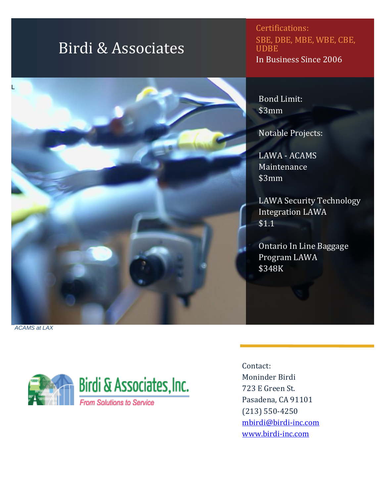# Birdi & Associates

#### Certifications: SBE, DBE, MBE, WBE, CBE, UDBE In Business Since 2006

Bond Limit: \$3mm

Notable Projects:

LAWA - ACAMS Maintenance \$3mm

LAWA Security Technology Integration LAWA \$1.1

Ontario In Line Baggage Program LAWA \$348K

*ACAMS at LAX*

L



Contact: Moninder Birdi 723 E Green St. Pasadena, CA 91101 (213) 550-4250 [mbirdi@birdi-inc.com](mailto:samplebccompany@gmail.com) [www.birdi-inc.com](http://www.birdi-inc.com/)